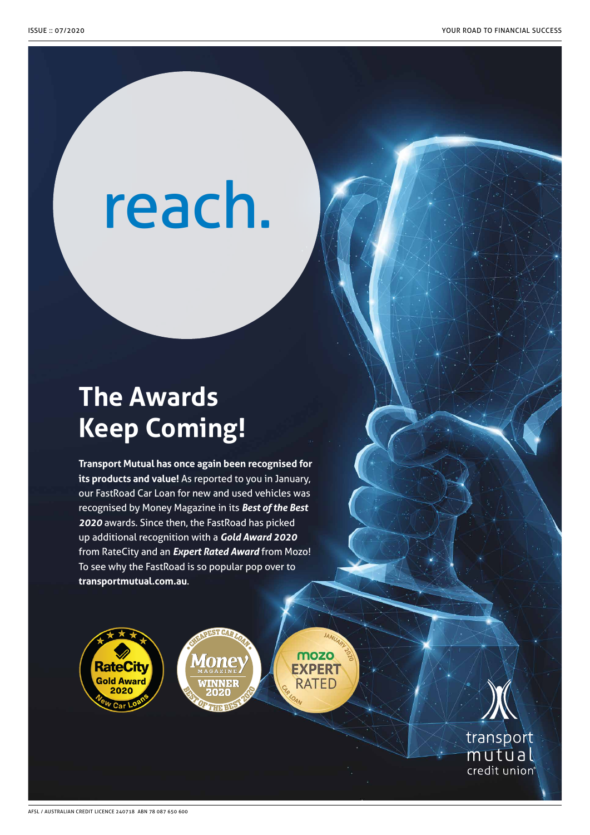# reach.

### **The Awards Keep Coming!**

**Transport Mutual has once again been recognised for its products and value!** As reported to you in January, our FastRoad Car Loan for new and used vehicles was recognised by Money Magazine in its *Best of the Best 2020* awards. Since then, the FastRoad has picked up additional recognition with a *Gold Award 2020* from RateCity and an *Expert Rated Award* from Mozo! To see why the FastRoad is so popular pop over to **transportmutual.com.au**.

mozo

**EXPERT** 

**RATED** 





transport mutūal credit union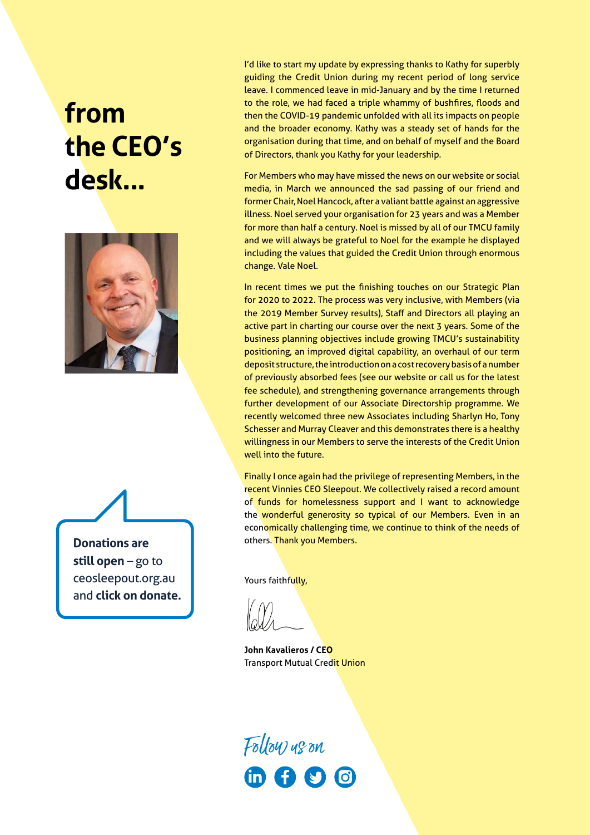# **from the CEO's desk...**



**Donations are still open** – go to ceosleepout.org.au and **click on donate.** I'd like to start my update by expressing thanks to Kathy for superbly guiding the Credit Union during my recent period of long service leave. I commenced leave in mid-January and by the time I returned to the role, we had faced a triple whammy of bushfires, floods and then the COVID-19 pandemic unfolded with all its impacts on people and the broader economy. Kathy was a steady set of hands for the organisation during that time, and on behalf of myself and the Board of Directors, thank you Kathy for your leadership.

For Members who may have missed the news on our website or social media, in March we announced the sad passing of our friend and former Chair, Noel Hancock, after a valiant battle against an aggressive illness. Noel served your organisation for 23 years and was a Member for more than half a century. Noel is missed by all of our TMCU family and we will always be grateful to Noel for the example he displayed including the values that guided the Credit Union through enormous change. Vale Noel.

In recent times we put the finishing touches on our Strategic Plan for 2020 to 2022. The process was very inclusive, with Members (via the 2019 Member Survey results), Staff and Directors all playing an active part in charting our course over the next 3 years. Some of the business planning objectives include growing TMCU's sustainability positioning, an improved digital capability, an overhaul of our term deposit structure, the introduction on a cost recovery basis of a number of previously absorbed fees (see our website or call us for the latest fee schedule), and strengthening governance arrangements through further development of our Associate Directorship programme. We recently welcomed three new Associates including Sharlyn Ho, Tony Schesser and Murray Cleaver and this demonstrates there is a healthy willingness in our Members to serve the interests of the Credit Union well into the future.

Finally I once again had the privilege of representing Members, in the recent Vinnies CEO Sleepout. We collectively raised a record amount of funds for homelessness support and I want to acknowledge the wonderful generosity so typical of our Members. Even in an economically challenging time, we continue to think of the needs of others. Thank you Members.

Yours faithfully,

**John Kavalieros / CEO Transport Mutual Credit Union** 

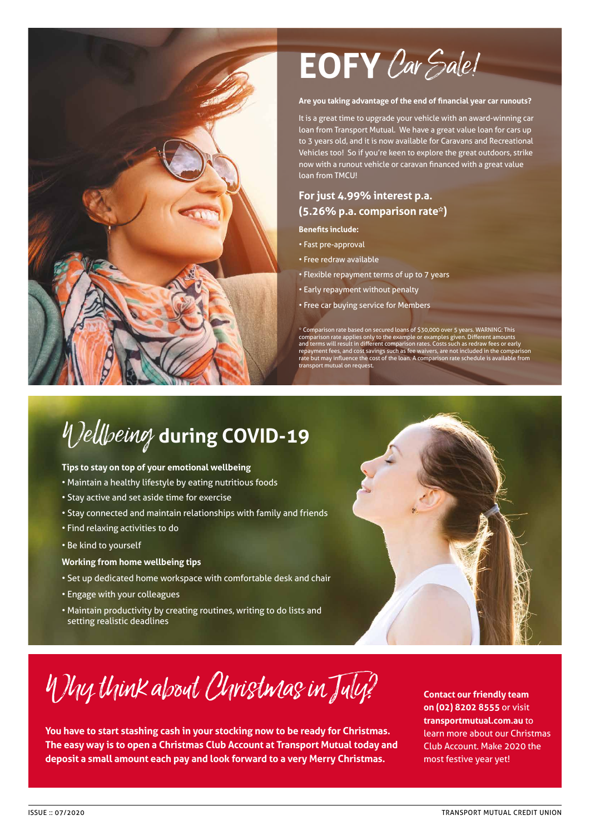

# **EOFY**Car Sale!

#### **Are you taking advantage of the end of financial year car runouts?**

It is a great time to upgrade your vehicle with an award-winning car loan from Transport Mutual. We have a great value loan for cars up to 3 years old, and it is now available for Caravans and Recreational Vehicles too! So if you're keen to explore the great outdoors, strike now with a runout vehicle or caravan financed with a great value loan from TMCU!

#### **For just 4.99% interest p.a. (5.26% p.a. comparison rate\*)**

#### **Benefits include:**

- Fast pre-approval
- Free redraw available
- Flexible repayment terms of up to 7 years
- Early repayment without penalty
- Free car buying service for Members

\* Comparison rate based on secured loans of \$30,000 over 5 years. WARNING: This<br>comparison rate applies only to the example or examples given. Different amounts<br>and terms will result in different comparison rates. Costs su

## Wellbeing **during COVID-19**

#### **Tips to stay on top of your emotional wellbeing**

- Maintain a healthy lifestyle by eating nutritious foods
- Stay active and set aside time for exercise
- Stay connected and maintain relationships with family and friends
- Find relaxing activities to do
- Be kind to yourself

#### **Working from home wellbeing tips**

- Set up dedicated home workspace with comfortable desk and chair
- Engage with your colleagues
- Maintain productivity by creating routines, writing to do lists and setting realistic deadlines



Why think about Christmas in July?

**You have to start stashing cash in your stocking now to be ready for Christmas. The easy way is to open a Christmas Club Account at Transport Mutual today and deposit a small amount each pay and look forward to a very Merry Christmas.**

**Contact our friendly team on (02) 8202 8555** or visit **transportmutual.com.au** to learn more about our Christmas Club Account. Make 2020 the most festive year yet!